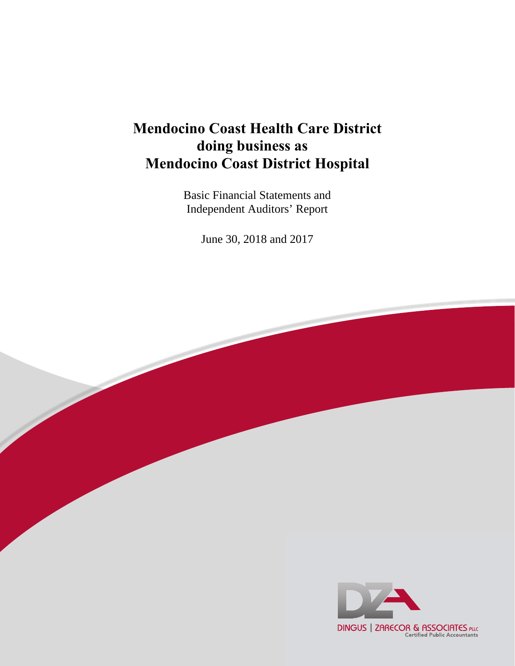# **Mendocino Coast Health Care D** doing business as **Mendocino Coast Health Care District Mendocino Coast District Hospital**

Basic Financial Statements and Independent Auditors' Report

June 30, 2018 and 2017

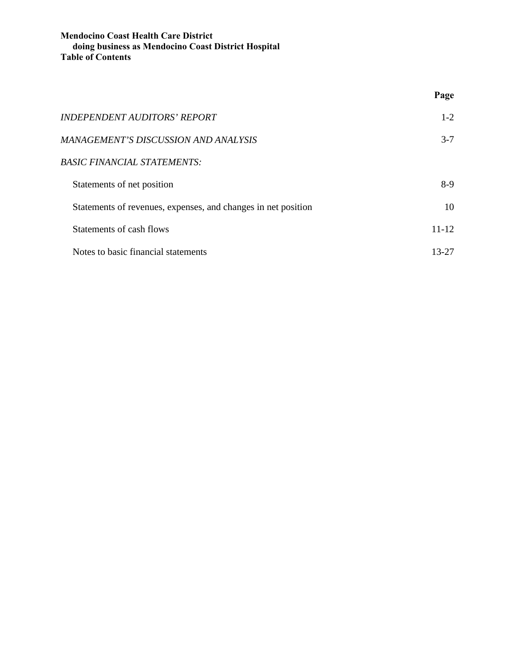#### **Mendocino Coast Health Care District doing business as Mendocino Coast District Hospital Table of Contents**

|                                                               | Page      |
|---------------------------------------------------------------|-----------|
| INDEPENDENT AUDITORS' REPORT                                  | $1 - 2$   |
| <i>MANAGEMENT'S DISCUSSION AND ANALYSIS</i>                   | $3 - 7$   |
| <b>BASIC FINANCIAL STATEMENTS:</b>                            |           |
| Statements of net position                                    | $8-9$     |
| Statements of revenues, expenses, and changes in net position | 10        |
| Statements of cash flows                                      | $11 - 12$ |
| Notes to basic financial statements                           | 13-27     |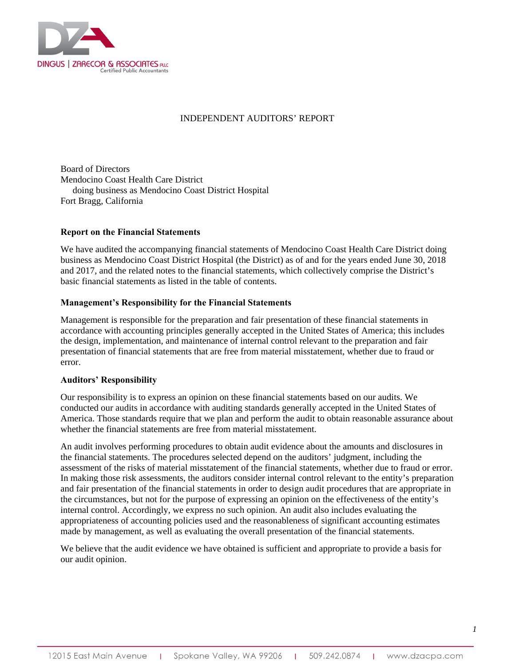

# INDEPENDENT AUDITORS' REPORT

Board of Directors Mendocino Coast Health Care District doing business as Mendocino Coast District Hospital Fort Bragg, California

#### **Report on the Financial Statements**

We have audited the accompanying financial statements of Mendocino Coast Health Care District doing business as Mendocino Coast District Hospital (the District) as of and for the years ended June 30, 2018 and 2017, and the related notes to the financial statements, which collectively comprise the District's basic financial statements as listed in the table of contents.

#### **Management's Responsibility for the Financial Statements**

Management is responsible for the preparation and fair presentation of these financial statements in accordance with accounting principles generally accepted in the United States of America; this includes the design, implementation, and maintenance of internal control relevant to the preparation and fair presentation of financial statements that are free from material misstatement, whether due to fraud or error.

#### **Auditors' Responsibility**

Our responsibility is to express an opinion on these financial statements based on our audits. We conducted our audits in accordance with auditing standards generally accepted in the United States of America. Those standards require that we plan and perform the audit to obtain reasonable assurance about whether the financial statements are free from material misstatement.

An audit involves performing procedures to obtain audit evidence about the amounts and disclosures in the financial statements. The procedures selected depend on the auditors' judgment, including the assessment of the risks of material misstatement of the financial statements, whether due to fraud or error. In making those risk assessments, the auditors consider internal control relevant to the entity's preparation and fair presentation of the financial statements in order to design audit procedures that are appropriate in the circumstances, but not for the purpose of expressing an opinion on the effectiveness of the entity's internal control. Accordingly, we express no such opinion. An audit also includes evaluating the appropriateness of accounting policies used and the reasonableness of significant accounting estimates made by management, as well as evaluating the overall presentation of the financial statements.

We believe that the audit evidence we have obtained is sufficient and appropriate to provide a basis for our audit opinion.

*1*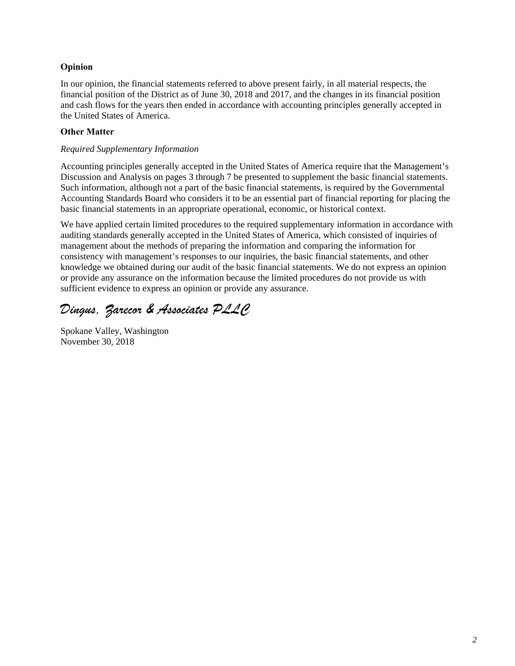# **Opinion**

In our opinion, the financial statements referred to above present fairly, in all material respects, the financial position of the District as of June 30, 2018 and 2017, and the changes in its financial position and cash flows for the years then ended in accordance with accounting principles generally accepted in the United States of America.

# **Other Matter**

# *Required Supplementary Information*

Accounting principles generally accepted in the United States of America require that the Management's Discussion and Analysis on pages 3 through 7 be presented to supplement the basic financial statements. Such information, although not a part of the basic financial statements, is required by the Governmental Accounting Standards Board who considers it to be an essential part of financial reporting for placing the basic financial statements in an appropriate operational, economic, or historical context.

We have applied certain limited procedures to the required supplementary information in accordance with auditing standards generally accepted in the United States of America, which consisted of inquiries of management about the methods of preparing the information and comparing the information for consistency with management's responses to our inquiries, the basic financial statements, and other knowledge we obtained during our audit of the basic financial statements. We do not express an opinion or provide any assurance on the information because the limited procedures do not provide us with sufficient evidence to express an opinion or provide any assurance.

*Dingus, Zarecor & Associates PLLC* 

Spokane Valley, Washington November 30, 2018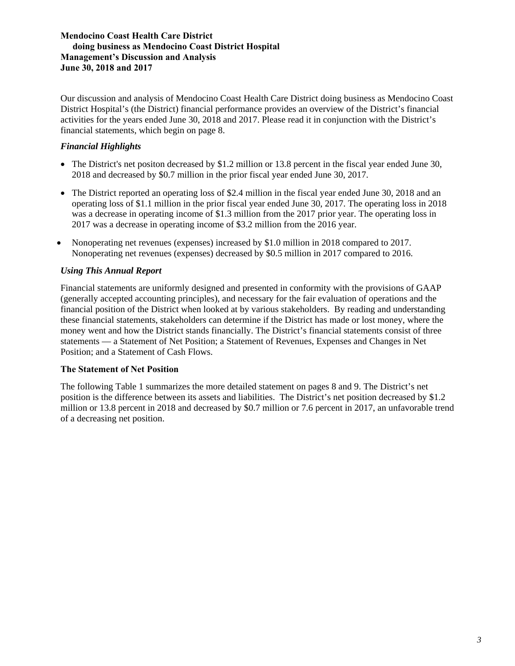Our discussion and analysis of Mendocino Coast Health Care District doing business as Mendocino Coast District Hospital's (the District) financial performance provides an overview of the District's financial activities for the years ended June 30, 2018 and 2017. Please read it in conjunction with the District's financial statements, which begin on page 8.

# *Financial Highlights*

- The District's net positon decreased by \$1.2 million or 13.8 percent in the fiscal year ended June 30, 2018 and decreased by \$0.7 million in the prior fiscal year ended June 30, 2017.
- The District reported an operating loss of \$2.4 million in the fiscal year ended June 30, 2018 and an operating loss of \$1.1 million in the prior fiscal year ended June 30, 2017. The operating loss in 2018 was a decrease in operating income of \$1.3 million from the 2017 prior year. The operating loss in 2017 was a decrease in operating income of \$3.2 million from the 2016 year.
- Nonoperating net revenues (expenses) increased by \$1.0 million in 2018 compared to 2017. Nonoperating net revenues (expenses) decreased by \$0.5 million in 2017 compared to 2016.

# *Using This Annual Report*

Financial statements are uniformly designed and presented in conformity with the provisions of GAAP (generally accepted accounting principles), and necessary for the fair evaluation of operations and the financial position of the District when looked at by various stakeholders. By reading and understanding these financial statements, stakeholders can determine if the District has made or lost money, where the money went and how the District stands financially. The District's financial statements consist of three statements — a Statement of Net Position; a Statement of Revenues, Expenses and Changes in Net Position; and a Statement of Cash Flows.

# **The Statement of Net Position**

The following Table 1 summarizes the more detailed statement on pages 8 and 9. The District's net position is the difference between its assets and liabilities. The District's net position decreased by \$1.2 million or 13.8 percent in 2018 and decreased by \$0.7 million or 7.6 percent in 2017, an unfavorable trend of a decreasing net position.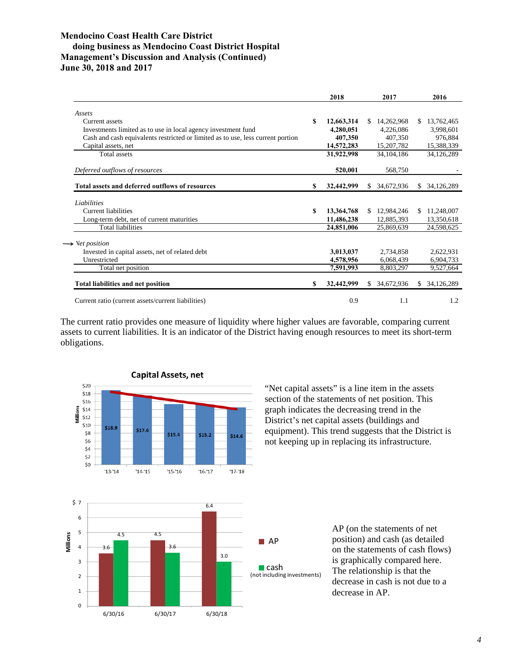|                                                                                 |   | 2018       |     | 2017         |               | 2016       |
|---------------------------------------------------------------------------------|---|------------|-----|--------------|---------------|------------|
| Assets                                                                          |   |            |     |              |               |            |
|                                                                                 |   |            |     |              |               |            |
| Current assets                                                                  | S | 12,663,314 | \$. | 14,262,968   | \$.           | 13,762,465 |
| Investments limited as to use in local agency investment fund                   |   | 4,280,051  |     | 4,226,086    |               | 3,998,601  |
| Cash and cash equivalents restricted or limited as to use, less current portion |   | 407,350    |     | 407,350      |               | 976,884    |
| Capital assets, net                                                             |   | 14,572,283 |     | 15,207,782   |               | 15,388,339 |
| Total assets                                                                    |   | 31,922,998 |     | 34, 104, 186 |               | 34,126,289 |
| Deferred outflows of resources                                                  |   | 520,001    |     | 568,750      |               |            |
| Total assets and deferred outflows of resources                                 | S | 32,442,999 | \$. | 34,672,936   | \$.           | 34,126,289 |
|                                                                                 |   |            |     |              |               |            |
| Liabilities                                                                     |   |            |     |              |               |            |
| Current liabilities                                                             | S | 13,364,768 | \$. | 12,984,246   | \$.           | 11,248,007 |
| Long-term debt, net of current maturities                                       |   | 11,486,238 |     | 12,885,393   |               | 13,350,618 |
| Total liabilities                                                               |   | 24,851,006 |     | 25,869,639   |               | 24,598,625 |
| $\rightarrow$ Vet position                                                      |   |            |     |              |               |            |
| Invested in capital assets, net of related debt                                 |   | 3,013,037  |     | 2,734,858    |               | 2,622,931  |
|                                                                                 |   |            |     |              |               |            |
| Unrestricted                                                                    |   | 4,578,956  |     | 6,068,439    |               | 6,904,733  |
| Total net position                                                              |   | 7,591,993  |     | 8,803,297    |               | 9,527,664  |
| Total liabilities and net position                                              | S | 32,442,999 | \$  | 34,672,936   | <sup>\$</sup> | 34,126,289 |
| Current ratio (current assets/current liabilities)                              |   | 0.9        |     | 1.1          |               | 1.2        |

The current ratio provides one measure of liquidity where higher values are favorable, comparing current assets to current liabilities. It is an indicator of the District having enough resources to meet its short-term obligations.



"Net capital assets" is a line item in the assets section of the statements of net position. This graph indicates the decreasing trend in the District's net capital assets (buildings and equipment). This trend suggests that the District is not keeping up in replacing its infrastructure.



AP (on the statements of net position) and cash (as detailed on the statements of cash flows) is graphically compared here. The relationship is that the decrease in cash is not due to a decrease in AP.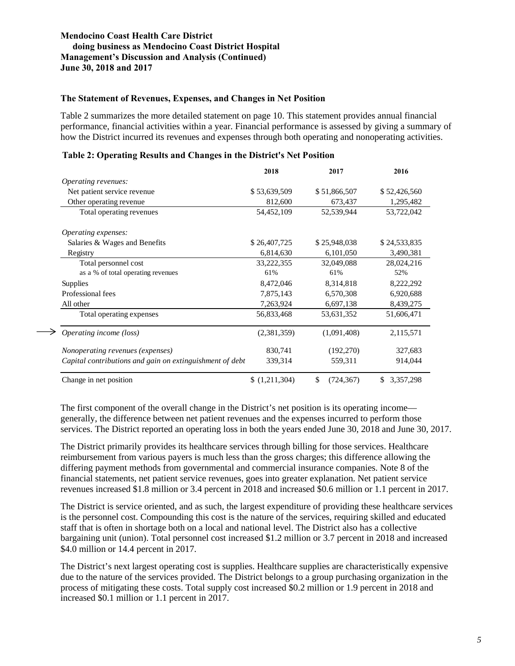$\rightarrow$ 

#### **The Statement of Revenues, Expenses, and Changes in Net Position**

Table 2 summarizes the more detailed statement on page 10. This statement provides annual financial performance, financial activities within a year. Financial performance is assessed by giving a summary of how the District incurred its revenues and expenses through both operating and nonoperating activities.

|                                                          | 2018         | 2017             | 2016            |
|----------------------------------------------------------|--------------|------------------|-----------------|
| Operating revenues:                                      |              |                  |                 |
| Net patient service revenue                              | \$53,639,509 | \$51,866,507     | \$52,426,560    |
| Other operating revenue                                  | 812,600      | 673,437          | 1,295,482       |
| Total operating revenues                                 | 54,452,109   | 52,539,944       | 53,722,042      |
| <i>Operating expenses:</i>                               |              |                  |                 |
| Salaries & Wages and Benefits                            | \$26,407,725 | \$25,948,038     | \$24,533,835    |
| Registry                                                 | 6,814,630    | 6,101,050        | 3,490,381       |
| Total personnel cost                                     | 33,222,355   | 32,049,088       | 28,024,216      |
| as a % of total operating revenues                       | 61%          | 61%              | 52%             |
| Supplies                                                 | 8,472,046    | 8,314,818        | 8,222,292       |
| Professional fees                                        | 7,875,143    | 6,570,308        | 6,920,688       |
| All other                                                | 7,263,924    | 6,697,138        | 8,439,275       |
| Total operating expenses                                 | 56,833,468   | 53,631,352       | 51,606,471      |
| <i>Operating income (loss)</i>                           | (2,381,359)  | (1,091,408)      | 2,115,571       |
| Nonoperating revenues (expenses)                         | 830,741      | (192,270)        | 327,683         |
| Capital contributions and gain on extinguishment of debt | 339,314      | 559,311          | 914,044         |
| Change in net position                                   | (1,211,304)  | \$<br>(724, 367) | \$<br>3,357,298 |

#### **Table 2: Operating Results and Changes in the District's Net Position**

The first component of the overall change in the District's net position is its operating income generally, the difference between net patient revenues and the expenses incurred to perform those services. The District reported an operating loss in both the years ended June 30, 2018 and June 30, 2017.

The District primarily provides its healthcare services through billing for those services. Healthcare reimbursement from various payers is much less than the gross charges; this difference allowing the differing payment methods from governmental and commercial insurance companies. Note 8 of the financial statements, net patient service revenues, goes into greater explanation. Net patient service revenues increased \$1.8 million or 3.4 percent in 2018 and increased \$0.6 million or 1.1 percent in 2017.

The District is service oriented, and as such, the largest expenditure of providing these healthcare services is the personnel cost. Compounding this cost is the nature of the services, requiring skilled and educated staff that is often in shortage both on a local and national level. The District also has a collective bargaining unit (union). Total personnel cost increased \$1.2 million or 3.7 percent in 2018 and increased \$4.0 million or 14.4 percent in 2017.

The District's next largest operating cost is supplies. Healthcare supplies are characteristically expensive due to the nature of the services provided. The District belongs to a group purchasing organization in the process of mitigating these costs. Total supply cost increased \$0.2 million or 1.9 percent in 2018 and increased \$0.1 million or 1.1 percent in 2017.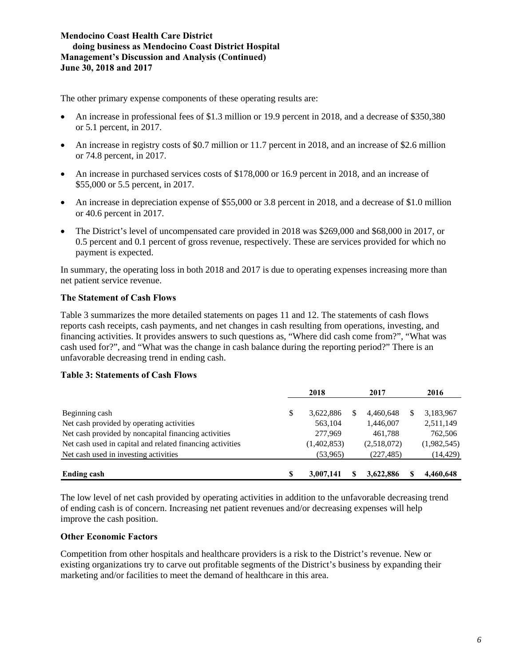The other primary expense components of these operating results are:

- An increase in professional fees of \$1.3 million or 19.9 percent in 2018, and a decrease of \$350,380 or 5.1 percent, in 2017.
- An increase in registry costs of \$0.7 million or 11.7 percent in 2018, and an increase of \$2.6 million or 74.8 percent, in 2017.
- An increase in purchased services costs of \$178,000 or 16.9 percent in 2018, and an increase of \$55,000 or 5.5 percent, in 2017.
- An increase in depreciation expense of \$55,000 or 3.8 percent in 2018, and a decrease of \$1.0 million or 40.6 percent in 2017.
- The District's level of uncompensated care provided in 2018 was \$269,000 and \$68,000 in 2017, or 0.5 percent and 0.1 percent of gross revenue, respectively. These are services provided for which no payment is expected.

In summary, the operating loss in both 2018 and 2017 is due to operating expenses increasing more than net patient service revenue.

# **The Statement of Cash Flows**

Table 3 summarizes the more detailed statements on pages 11 and 12. The statements of cash flows reports cash receipts, cash payments, and net changes in cash resulting from operations, investing, and financing activities. It provides answers to such questions as, "Where did cash come from?", "What was cash used for?", and "What was the change in cash balance during the reporting period?" There is an unfavorable decreasing trend in ending cash.

#### **Table 3: Statements of Cash Flows**

|                                                           | 2018        | 2017        | 2016        |
|-----------------------------------------------------------|-------------|-------------|-------------|
|                                                           |             |             |             |
| Beginning cash                                            | 3,622,886   | 4.460.648   | 3,183,967   |
| Net cash provided by operating activities                 | 563,104     | 1,446,007   | 2,511,149   |
| Net cash provided by noncapital financing activities      | 277,969     | 461.788     | 762,506     |
| Net cash used in capital and related financing activities | (1,402,853) | (2,518,072) | (1,982,545) |
| Net cash used in investing activities                     | (53,965)    | (227, 485)  | (14, 429)   |
|                                                           |             |             |             |
| Ending cash                                               | 3,007,141   | 3.622.886   | 4,460,648   |

The low level of net cash provided by operating activities in addition to the unfavorable decreasing trend of ending cash is of concern. Increasing net patient revenues and/or decreasing expenses will help improve the cash position.

#### **Other Economic Factors**

Competition from other hospitals and healthcare providers is a risk to the District's revenue. New or existing organizations try to carve out profitable segments of the District's business by expanding their marketing and/or facilities to meet the demand of healthcare in this area.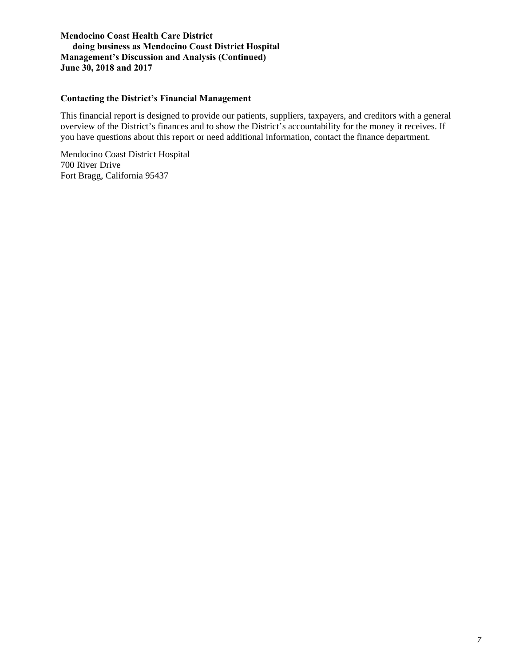# **Contacting the District's Financial Management**

This financial report is designed to provide our patients, suppliers, taxpayers, and creditors with a general overview of the District's finances and to show the District's accountability for the money it receives. If you have questions about this report or need additional information, contact the finance department.

Mendocino Coast District Hospital 700 River Drive Fort Bragg, California 95437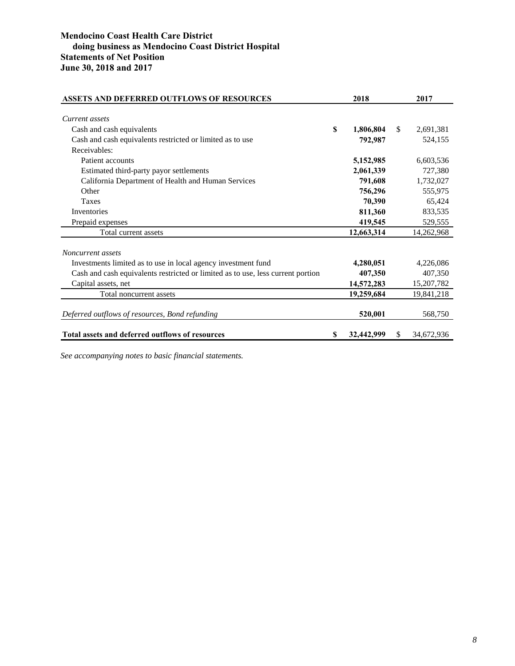# **Mendocino Coast Health Care District doing business as Mendocino Coast District Hospital Statements of Net Position June 30, 2018 and 2017**

| <b>ASSETS AND DEFERRED OUTFLOWS OF RESOURCES</b>                                | 2018             |     | 2017       |
|---------------------------------------------------------------------------------|------------------|-----|------------|
|                                                                                 |                  |     |            |
| Current assets                                                                  |                  |     |            |
| Cash and cash equivalents                                                       | \$<br>1,806,804  | \$. | 2,691,381  |
| Cash and cash equivalents restricted or limited as to use                       | 792,987          |     | 524,155    |
| Receivables:                                                                    |                  |     |            |
| Patient accounts                                                                | 5,152,985        |     | 6,603,536  |
| Estimated third-party payor settlements                                         | 2,061,339        |     | 727,380    |
| California Department of Health and Human Services                              | 791,608          |     | 1,732,027  |
| Other                                                                           | 756,296          |     | 555,975    |
| <b>Taxes</b>                                                                    | 70,390           |     | 65,424     |
| Inventories                                                                     | 811,360          |     | 833,535    |
| Prepaid expenses                                                                | 419,545          |     | 529,555    |
| Total current assets                                                            | 12,663,314       |     | 14,262,968 |
|                                                                                 |                  |     |            |
| Noncurrent assets                                                               |                  |     |            |
| Investments limited as to use in local agency investment fund                   | 4,280,051        |     | 4,226,086  |
| Cash and cash equivalents restricted or limited as to use, less current portion | 407,350          |     | 407,350    |
| Capital assets, net                                                             | 14,572,283       |     | 15,207,782 |
| Total noncurrent assets                                                         | 19,259,684       |     | 19,841,218 |
|                                                                                 |                  |     |            |
| Deferred outflows of resources, Bond refunding                                  | 520,001          |     | 568,750    |
|                                                                                 |                  |     |            |
| Total assets and deferred outflows of resources                                 | \$<br>32,442,999 | \$  | 34,672,936 |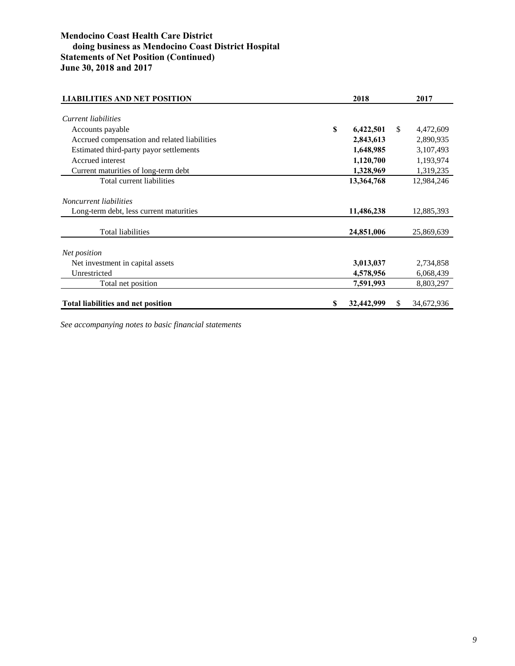# **Mendocino Coast Health Care District doing business as Mendocino Coast District Hospital Statements of Net Position (Continued) June 30, 2018 and 2017**

| <b>LIABILITIES AND NET POSITION</b>          | 2018             |     | 2017       |
|----------------------------------------------|------------------|-----|------------|
|                                              |                  |     |            |
| Current liabilities                          |                  |     |            |
| Accounts payable                             | \$<br>6,422,501  | \$. | 4,472,609  |
| Accrued compensation and related liabilities | 2,843,613        |     | 2,890,935  |
| Estimated third-party payor settlements      | 1,648,985        |     | 3,107,493  |
| Accrued interest                             | 1,120,700        |     | 1,193,974  |
| Current maturities of long-term debt         | 1,328,969        |     | 1,319,235  |
| Total current liabilities                    | 13,364,768       |     | 12,984,246 |
|                                              |                  |     |            |
| Noncurrent liabilities                       |                  |     |            |
| Long-term debt, less current maturities      | 11,486,238       |     | 12,885,393 |
|                                              |                  |     |            |
| <b>Total liabilities</b>                     | 24,851,006       |     | 25,869,639 |
|                                              |                  |     |            |
| Net position                                 |                  |     |            |
| Net investment in capital assets             | 3,013,037        |     | 2,734,858  |
| Unrestricted                                 | 4,578,956        |     | 6,068,439  |
| Total net position                           | 7,591,993        |     | 8,803,297  |
|                                              |                  |     |            |
| <b>Total liabilities and net position</b>    | \$<br>32,442,999 | \$  | 34,672,936 |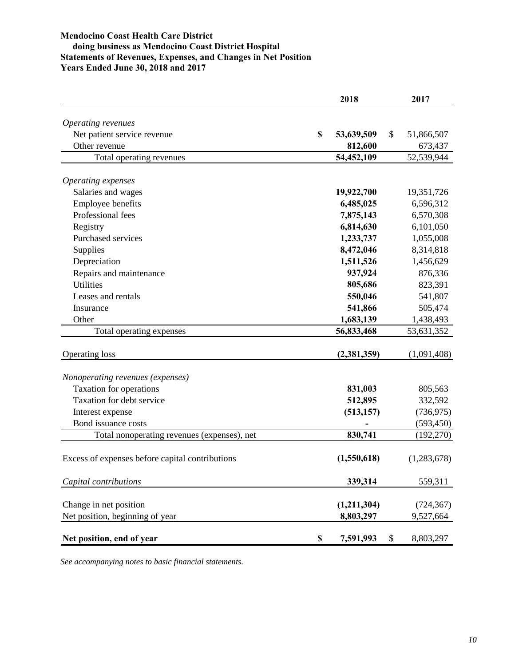# **Mendocino Coast Health Care District doing business as Mendocino Coast District Hospital Statements of Revenues, Expenses, and Changes in Net Position Years Ended June 30, 2018 and 2017**

|                                                 | 2018             | 2017             |
|-------------------------------------------------|------------------|------------------|
| <b>Operating revenues</b>                       |                  |                  |
| Net patient service revenue                     | \$<br>53,639,509 | \$<br>51,866,507 |
| Other revenue                                   | 812,600          | 673,437          |
| Total operating revenues                        | 54,452,109       | 52,539,944       |
| Operating expenses                              |                  |                  |
| Salaries and wages                              | 19,922,700       | 19,351,726       |
| Employee benefits                               | 6,485,025        | 6,596,312        |
| Professional fees                               | 7,875,143        | 6,570,308        |
| Registry                                        | 6,814,630        | 6,101,050        |
| Purchased services                              | 1,233,737        | 1,055,008        |
| Supplies                                        | 8,472,046        | 8,314,818        |
| Depreciation                                    | 1,511,526        | 1,456,629        |
| Repairs and maintenance                         | 937,924          | 876,336          |
| <b>Utilities</b>                                | 805,686          | 823,391          |
| Leases and rentals                              | 550,046          | 541,807          |
| Insurance                                       | 541,866          | 505,474          |
| Other                                           | 1,683,139        | 1,438,493        |
| Total operating expenses                        | 56,833,468       | 53,631,352       |
|                                                 |                  |                  |
| Operating loss                                  | (2,381,359)      | (1,091,408)      |
| Nonoperating revenues (expenses)                |                  |                  |
| Taxation for operations                         | 831,003          | 805,563          |
| Taxation for debt service                       | 512,895          | 332,592          |
| Interest expense                                | (513, 157)       | (736, 975)       |
| Bond issuance costs                             |                  | (593, 450)       |
| Total nonoperating revenues (expenses), net     | 830,741          | (192,270)        |
| Excess of expenses before capital contributions | (1,550,618)      | (1,283,678)      |
| Capital contributions                           | 339,314          | 559,311          |
| Change in net position                          | (1,211,304)      | (724, 367)       |
| Net position, beginning of year                 | 8,803,297        | 9,527,664        |
| Net position, end of year                       | \$<br>7,591,993  | \$<br>8,803,297  |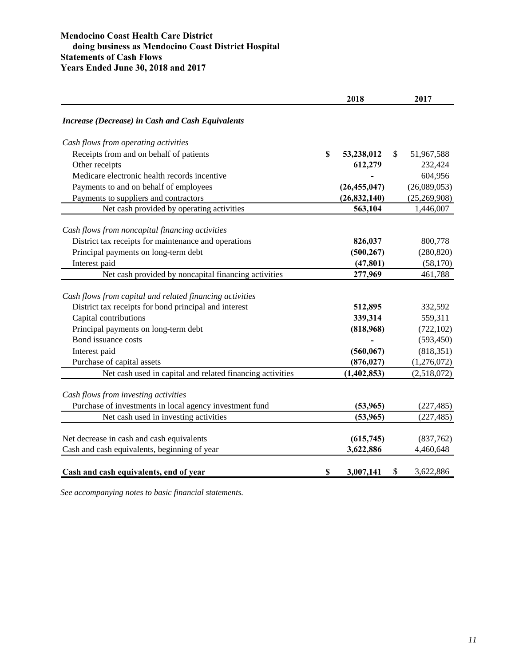# **Mendocino Coast Health Care District doing business as Mendocino Coast District Hospital Statements of Cash Flows Years Ended June 30, 2018 and 2017**

|                                                           | 2018             | 2017             |
|-----------------------------------------------------------|------------------|------------------|
| <b>Increase (Decrease) in Cash and Cash Equivalents</b>   |                  |                  |
| Cash flows from operating activities                      |                  |                  |
| Receipts from and on behalf of patients                   | \$<br>53,238,012 | \$<br>51,967,588 |
| Other receipts                                            | 612,279          | 232,424          |
| Medicare electronic health records incentive              |                  | 604,956          |
| Payments to and on behalf of employees                    | (26, 455, 047)   | (26,089,053)     |
| Payments to suppliers and contractors                     | (26, 832, 140)   | (25,269,908)     |
| Net cash provided by operating activities                 | 563,104          | 1,446,007        |
| Cash flows from noncapital financing activities           |                  |                  |
| District tax receipts for maintenance and operations      | 826,037          | 800,778          |
| Principal payments on long-term debt                      | (500, 267)       | (280, 820)       |
| Interest paid                                             | (47, 801)        | (58,170)         |
| Net cash provided by noncapital financing activities      | 277,969          | 461,788          |
|                                                           |                  |                  |
| Cash flows from capital and related financing activities  |                  |                  |
| District tax receipts for bond principal and interest     | 512,895          | 332,592          |
| Capital contributions                                     | 339,314          | 559,311          |
| Principal payments on long-term debt                      | (818,968)        | (722, 102)       |
| Bond issuance costs                                       |                  | (593, 450)       |
| Interest paid                                             | (560, 067)       | (818, 351)       |
| Purchase of capital assets                                | (876, 027)       | (1,276,072)      |
| Net cash used in capital and related financing activities | (1,402,853)      | (2,518,072)      |
| Cash flows from investing activities                      |                  |                  |
| Purchase of investments in local agency investment fund   | (53,965)         | (227, 485)       |
| Net cash used in investing activities                     | (53, 965)        | (227, 485)       |
|                                                           |                  |                  |
| Net decrease in cash and cash equivalents                 | (615,745)        | (837,762)        |
| Cash and cash equivalents, beginning of year              | 3,622,886        | 4,460,648        |
| Cash and cash equivalents, end of year                    | 3,007,141<br>\$  | \$<br>3,622,886  |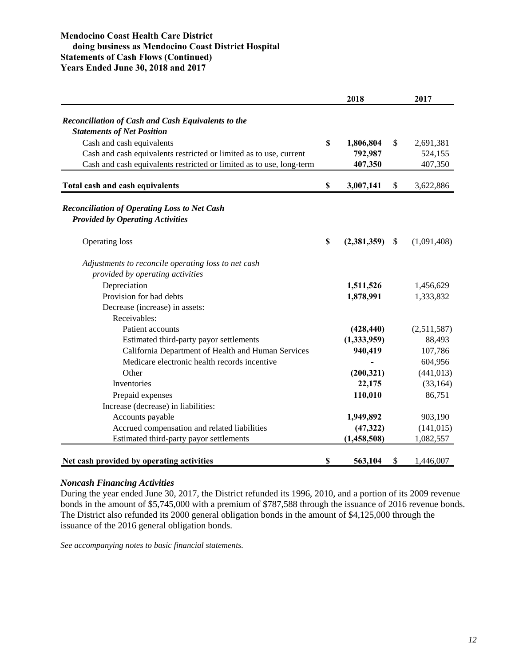#### **Mendocino Coast Health Care District doing business as Mendocino Coast District Hospital Statements of Cash Flows (Continued) Years Ended June 30, 2018 and 2017**

|                                                                                                | 2018              |               | 2017        |
|------------------------------------------------------------------------------------------------|-------------------|---------------|-------------|
| <b>Reconciliation of Cash and Cash Equivalents to the</b><br><b>Statements of Net Position</b> |                   |               |             |
| Cash and cash equivalents                                                                      | \$<br>1,806,804   | \$            | 2,691,381   |
| Cash and cash equivalents restricted or limited as to use, current                             | 792,987           |               | 524,155     |
| Cash and cash equivalents restricted or limited as to use, long-term                           | 407,350           |               | 407,350     |
| Total cash and cash equivalents                                                                | \$<br>3,007,141   | \$            | 3,622,886   |
| <b>Reconciliation of Operating Loss to Net Cash</b><br><b>Provided by Operating Activities</b> |                   |               |             |
| <b>Operating loss</b>                                                                          | \$<br>(2,381,359) | <sup>\$</sup> | (1,091,408) |
| Adjustments to reconcile operating loss to net cash                                            |                   |               |             |
| provided by operating activities                                                               |                   |               |             |
| Depreciation                                                                                   | 1,511,526         |               | 1,456,629   |
| Provision for bad debts                                                                        | 1,878,991         |               | 1,333,832   |
| Decrease (increase) in assets:                                                                 |                   |               |             |
| Receivables:                                                                                   |                   |               |             |
| Patient accounts                                                                               | (428, 440)        |               | (2,511,587) |
| Estimated third-party payor settlements                                                        | (1,333,959)       |               | 88,493      |
| California Department of Health and Human Services                                             | 940,419           |               | 107,786     |
| Medicare electronic health records incentive                                                   |                   |               | 604,956     |
| Other                                                                                          | (200, 321)        |               | (441, 013)  |
| Inventories                                                                                    | 22,175            |               | (33, 164)   |
| Prepaid expenses                                                                               | 110,010           |               | 86,751      |
| Increase (decrease) in liabilities:                                                            |                   |               |             |
| Accounts payable                                                                               | 1,949,892         |               | 903,190     |
| Accrued compensation and related liabilities                                                   | (47, 322)         |               | (141, 015)  |
| Estimated third-party payor settlements                                                        | (1,458,508)       |               | 1,082,557   |
| Net cash provided by operating activities                                                      | \$<br>563,104     | \$            | 1,446,007   |

#### *Noncash Financing Activities*

During the year ended June 30, 2017, the District refunded its 1996, 2010, and a portion of its 2009 revenue bonds in the amount of \$5,745,000 with a premium of \$787,588 through the issuance of 2016 revenue bonds. The District also refunded its 2000 general obligation bonds in the amount of \$4,125,000 through the issuance of the 2016 general obligation bonds.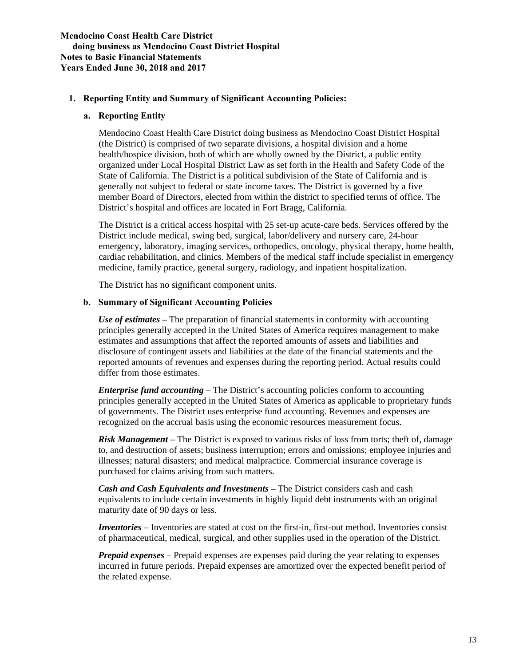# **1. Reporting Entity and Summary of Significant Accounting Policies:**

#### **a. Reporting Entity**

Mendocino Coast Health Care District doing business as Mendocino Coast District Hospital (the District) is comprised of two separate divisions, a hospital division and a home health/hospice division, both of which are wholly owned by the District, a public entity organized under Local Hospital District Law as set forth in the Health and Safety Code of the State of California. The District is a political subdivision of the State of California and is generally not subject to federal or state income taxes. The District is governed by a five member Board of Directors, elected from within the district to specified terms of office. The District's hospital and offices are located in Fort Bragg, California.

The District is a critical access hospital with 25 set-up acute-care beds. Services offered by the District include medical, swing bed, surgical, labor/delivery and nursery care, 24-hour emergency, laboratory, imaging services, orthopedics, oncology, physical therapy, home health, cardiac rehabilitation, and clinics. Members of the medical staff include specialist in emergency medicine, family practice, general surgery, radiology, and inpatient hospitalization.

The District has no significant component units.

#### **b. Summary of Significant Accounting Policies**

*Use of estimates* – The preparation of financial statements in conformity with accounting principles generally accepted in the United States of America requires management to make estimates and assumptions that affect the reported amounts of assets and liabilities and disclosure of contingent assets and liabilities at the date of the financial statements and the reported amounts of revenues and expenses during the reporting period. Actual results could differ from those estimates.

*Enterprise fund accounting* – The District's accounting policies conform to accounting principles generally accepted in the United States of America as applicable to proprietary funds of governments. The District uses enterprise fund accounting. Revenues and expenses are recognized on the accrual basis using the economic resources measurement focus.

*Risk Management* – The District is exposed to various risks of loss from torts; theft of, damage to, and destruction of assets; business interruption; errors and omissions; employee injuries and illnesses; natural disasters; and medical malpractice. Commercial insurance coverage is purchased for claims arising from such matters.

*Cash and Cash Equivalents and Investments* – The District considers cash and cash equivalents to include certain investments in highly liquid debt instruments with an original maturity date of 90 days or less.

*Inventories* – Inventories are stated at cost on the first-in, first-out method. Inventories consist of pharmaceutical, medical, surgical, and other supplies used in the operation of the District.

*Prepaid expenses* – Prepaid expenses are expenses paid during the year relating to expenses incurred in future periods. Prepaid expenses are amortized over the expected benefit period of the related expense.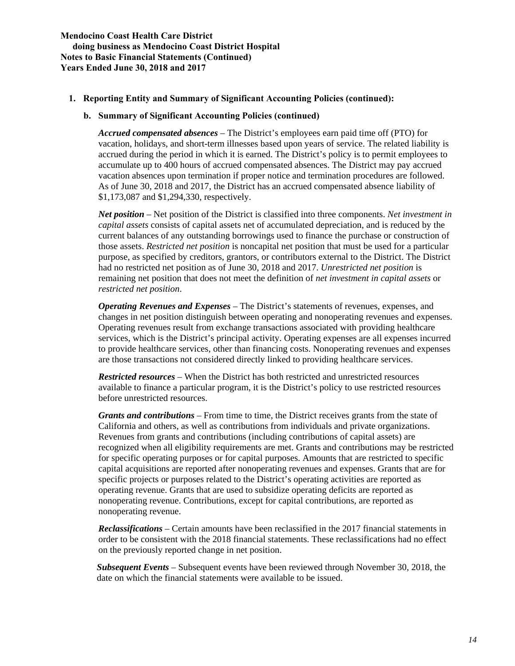# **1. Reporting Entity and Summary of Significant Accounting Policies (continued):**

#### **b. Summary of Significant Accounting Policies (continued)**

*Accrued compensated absences* – The District's employees earn paid time off (PTO) for vacation, holidays, and short-term illnesses based upon years of service. The related liability is accrued during the period in which it is earned. The District's policy is to permit employees to accumulate up to 400 hours of accrued compensated absences. The District may pay accrued vacation absences upon termination if proper notice and termination procedures are followed. As of June 30, 2018 and 2017, the District has an accrued compensated absence liability of \$1,173,087 and \$1,294,330, respectively.

*Net position* – Net position of the District is classified into three components. *Net investment in capital assets* consists of capital assets net of accumulated depreciation, and is reduced by the current balances of any outstanding borrowings used to finance the purchase or construction of those assets. *Restricted net position* is noncapital net position that must be used for a particular purpose, as specified by creditors, grantors, or contributors external to the District. The District had no restricted net position as of June 30, 2018 and 2017. *Unrestricted net position* is remaining net position that does not meet the definition of *net investment in capital assets* or *restricted net position*.

*Operating Revenues and Expenses* – The District's statements of revenues, expenses, and changes in net position distinguish between operating and nonoperating revenues and expenses. Operating revenues result from exchange transactions associated with providing healthcare services, which is the District's principal activity. Operating expenses are all expenses incurred to provide healthcare services, other than financing costs. Nonoperating revenues and expenses are those transactions not considered directly linked to providing healthcare services.

*Restricted resources* – When the District has both restricted and unrestricted resources available to finance a particular program, it is the District's policy to use restricted resources before unrestricted resources.

*Grants and contributions –* From time to time, the District receives grants from the state of California and others, as well as contributions from individuals and private organizations. Revenues from grants and contributions (including contributions of capital assets) are recognized when all eligibility requirements are met. Grants and contributions may be restricted for specific operating purposes or for capital purposes. Amounts that are restricted to specific capital acquisitions are reported after nonoperating revenues and expenses. Grants that are for specific projects or purposes related to the District's operating activities are reported as operating revenue. Grants that are used to subsidize operating deficits are reported as nonoperating revenue. Contributions, except for capital contributions, are reported as nonoperating revenue.

*Reclassifications* – Certain amounts have been reclassified in the 2017 financial statements in order to be consistent with the 2018 financial statements. These reclassifications had no effect on the previously reported change in net position.

*Subsequent Events* – Subsequent events have been reviewed through November 30, 2018, the date on which the financial statements were available to be issued.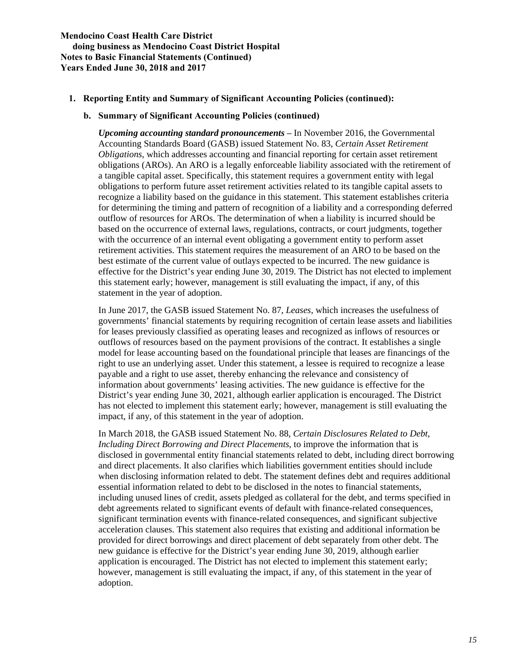## **1. Reporting Entity and Summary of Significant Accounting Policies (continued):**

#### **b. Summary of Significant Accounting Policies (continued)**

*Upcoming accounting standard pronouncements* **‒** In November 2016, the Governmental Accounting Standards Board (GASB) issued Statement No. 83, *Certain Asset Retirement Obligations*, which addresses accounting and financial reporting for certain asset retirement obligations (AROs). An ARO is a legally enforceable liability associated with the retirement of a tangible capital asset. Specifically, this statement requires a government entity with legal obligations to perform future asset retirement activities related to its tangible capital assets to recognize a liability based on the guidance in this statement. This statement establishes criteria for determining the timing and pattern of recognition of a liability and a corresponding deferred outflow of resources for AROs. The determination of when a liability is incurred should be based on the occurrence of external laws, regulations, contracts, or court judgments, together with the occurrence of an internal event obligating a government entity to perform asset retirement activities. This statement requires the measurement of an ARO to be based on the best estimate of the current value of outlays expected to be incurred. The new guidance is effective for the District's year ending June 30, 2019. The District has not elected to implement this statement early; however, management is still evaluating the impact, if any, of this statement in the year of adoption.

In June 2017, the GASB issued Statement No. 87, *Leases*, which increases the usefulness of governments' financial statements by requiring recognition of certain lease assets and liabilities for leases previously classified as operating leases and recognized as inflows of resources or outflows of resources based on the payment provisions of the contract. It establishes a single model for lease accounting based on the foundational principle that leases are financings of the right to use an underlying asset. Under this statement, a lessee is required to recognize a lease payable and a right to use asset, thereby enhancing the relevance and consistency of information about governments' leasing activities. The new guidance is effective for the District's year ending June 30, 2021, although earlier application is encouraged. The District has not elected to implement this statement early; however, management is still evaluating the impact, if any, of this statement in the year of adoption.

In March 2018, the GASB issued Statement No. 88, *Certain Disclosures Related to Debt, Including Direct Borrowing and Direct Placements*, to improve the information that is disclosed in governmental entity financial statements related to debt, including direct borrowing and direct placements. It also clarifies which liabilities government entities should include when disclosing information related to debt. The statement defines debt and requires additional essential information related to debt to be disclosed in the notes to financial statements, including unused lines of credit, assets pledged as collateral for the debt, and terms specified in debt agreements related to significant events of default with finance-related consequences, significant termination events with finance-related consequences, and significant subjective acceleration clauses. This statement also requires that existing and additional information be provided for direct borrowings and direct placement of debt separately from other debt. The new guidance is effective for the District's year ending June 30, 2019, although earlier application is encouraged. The District has not elected to implement this statement early; however, management is still evaluating the impact, if any, of this statement in the year of adoption.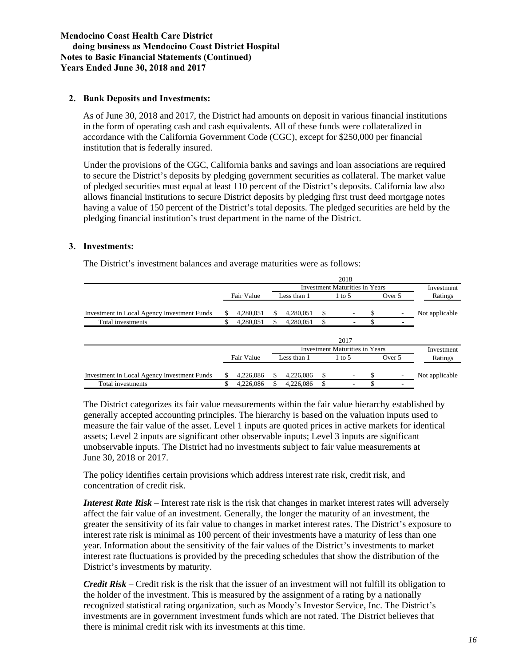#### **2. Bank Deposits and Investments:**

As of June 30, 2018 and 2017, the District had amounts on deposit in various financial institutions in the form of operating cash and cash equivalents. All of these funds were collateralized in accordance with the California Government Code (CGC), except for \$250,000 per financial institution that is federally insured.

Under the provisions of the CGC, California banks and savings and loan associations are required to secure the District's deposits by pledging government securities as collateral. The market value of pledged securities must equal at least 110 percent of the District's deposits. California law also allows financial institutions to secure District deposits by pledging first trust deed mortgage notes having a value of 150 percent of the District's total deposits. The pledged securities are held by the pledging financial institution's trust department in the name of the District.

# **3. Investments:**

|                                             |    |            |                       |                                       |    | 2018                                  |         |        |                |
|---------------------------------------------|----|------------|-----------------------|---------------------------------------|----|---------------------------------------|---------|--------|----------------|
|                                             |    |            |                       | <b>Investment Maturities in Years</b> |    | Investment                            |         |        |                |
|                                             |    | Fair Value |                       | Less than 1                           |    | 1 to 5                                |         | Over 5 | Ratings        |
| Investment in Local Agency Investment Funds | \$ | 4,280,051  | \$                    | 4,280,051                             | S  | ۰                                     | S       |        | Not applicable |
| Total investments                           | \$ | 4,280,051  |                       | 4,280,051                             | \$ |                                       |         |        |                |
|                                             |    |            |                       |                                       |    | 2017                                  |         |        |                |
|                                             |    |            |                       |                                       |    | <b>Investment Maturities in Years</b> |         |        | Investment     |
|                                             |    | Fair Value | Less than 1<br>1 to 5 |                                       |    | Over 5                                | Ratings |        |                |
| Investment in Local Agency Investment Funds | S  | 4.226.086  | S                     | 4.226.086                             | \$ | ٠                                     | \$      |        | Not applicable |
| Total investments                           | \$ | 4,226,086  | S                     | 4.226.086                             | \$ | ۰                                     | C       |        |                |

The District's investment balances and average maturities were as follows:

The District categorizes its fair value measurements within the fair value hierarchy established by generally accepted accounting principles. The hierarchy is based on the valuation inputs used to measure the fair value of the asset. Level 1 inputs are quoted prices in active markets for identical assets; Level 2 inputs are significant other observable inputs; Level 3 inputs are significant unobservable inputs. The District had no investments subject to fair value measurements at June 30, 2018 or 2017.

The policy identifies certain provisions which address interest rate risk, credit risk, and concentration of credit risk.

*Interest Rate Risk* – Interest rate risk is the risk that changes in market interest rates will adversely affect the fair value of an investment. Generally, the longer the maturity of an investment, the greater the sensitivity of its fair value to changes in market interest rates. The District's exposure to interest rate risk is minimal as 100 percent of their investments have a maturity of less than one year. Information about the sensitivity of the fair values of the District's investments to market interest rate fluctuations is provided by the preceding schedules that show the distribution of the District's investments by maturity.

*Credit Risk* – Credit risk is the risk that the issuer of an investment will not fulfill its obligation to the holder of the investment. This is measured by the assignment of a rating by a nationally recognized statistical rating organization, such as Moody's Investor Service, Inc. The District's investments are in government investment funds which are not rated. The District believes that there is minimal credit risk with its investments at this time.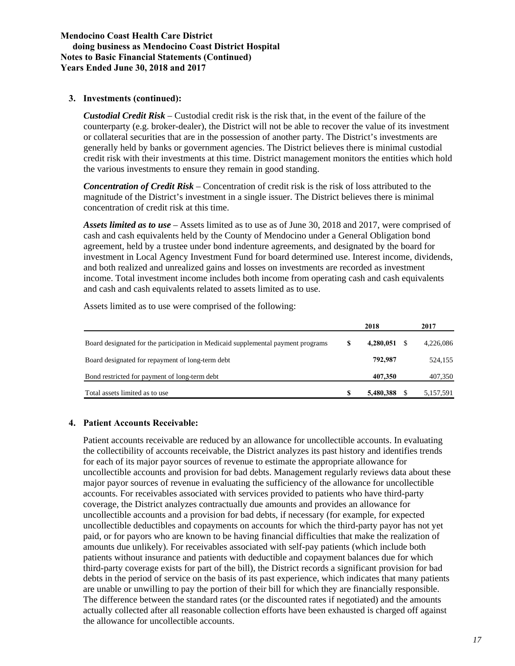#### **3. Investments (continued):**

*Custodial Credit Risk* – Custodial credit risk is the risk that, in the event of the failure of the counterparty (e.g. broker-dealer), the District will not be able to recover the value of its investment or collateral securities that are in the possession of another party. The District's investments are generally held by banks or government agencies. The District believes there is minimal custodial credit risk with their investments at this time. District management monitors the entities which hold the various investments to ensure they remain in good standing.

*Concentration of Credit Risk* – Concentration of credit risk is the risk of loss attributed to the magnitude of the District's investment in a single issuer. The District believes there is minimal concentration of credit risk at this time.

*Assets limited as to use* – Assets limited as to use as of June 30, 2018 and 2017, were comprised of cash and cash equivalents held by the County of Mendocino under a General Obligation bond agreement, held by a trustee under bond indenture agreements, and designated by the board for investment in Local Agency Investment Fund for board determined use. Interest income, dividends, and both realized and unrealized gains and losses on investments are recorded as investment income. Total investment income includes both income from operating cash and cash equivalents and cash and cash equivalents related to assets limited as to use.

|                                                                                  |   | 2018      | 2017 |           |  |
|----------------------------------------------------------------------------------|---|-----------|------|-----------|--|
| Board designated for the participation in Medicaid supplemental payment programs | S | 4,280,051 |      | 4,226,086 |  |
| Board designated for repayment of long-term debt                                 |   | 792,987   |      | 524,155   |  |
| Bond restricted for payment of long-term debt                                    |   | 407.350   |      | 407,350   |  |
| Total assets limited as to use                                                   |   | 5,480,388 |      | 5,157,591 |  |

Assets limited as to use were comprised of the following:

#### **4. Patient Accounts Receivable:**

Patient accounts receivable are reduced by an allowance for uncollectible accounts. In evaluating the collectibility of accounts receivable, the District analyzes its past history and identifies trends for each of its major payor sources of revenue to estimate the appropriate allowance for uncollectible accounts and provision for bad debts. Management regularly reviews data about these major payor sources of revenue in evaluating the sufficiency of the allowance for uncollectible accounts. For receivables associated with services provided to patients who have third-party coverage, the District analyzes contractually due amounts and provides an allowance for uncollectible accounts and a provision for bad debts, if necessary (for example, for expected uncollectible deductibles and copayments on accounts for which the third-party payor has not yet paid, or for payors who are known to be having financial difficulties that make the realization of amounts due unlikely). For receivables associated with self-pay patients (which include both patients without insurance and patients with deductible and copayment balances due for which third-party coverage exists for part of the bill), the District records a significant provision for bad debts in the period of service on the basis of its past experience, which indicates that many patients are unable or unwilling to pay the portion of their bill for which they are financially responsible. The difference between the standard rates (or the discounted rates if negotiated) and the amounts actually collected after all reasonable collection efforts have been exhausted is charged off against the allowance for uncollectible accounts.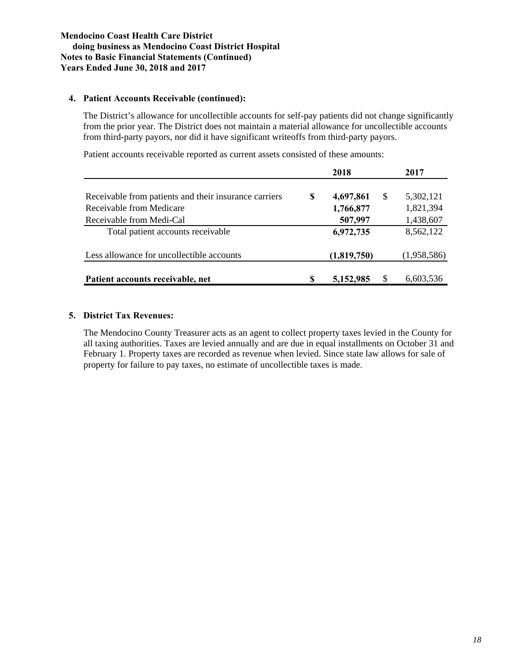#### **4. Patient Accounts Receivable (continued):**

The District's allowance for uncollectible accounts for self-pay patients did not change significantly from the prior year. The District does not maintain a material allowance for uncollectible accounts from third-party payors, nor did it have significant writeoffs from third-party payors.

Patient accounts receivable reported as current assets consisted of these amounts:

|                                                       |   | 2018        |    | 2017        |
|-------------------------------------------------------|---|-------------|----|-------------|
|                                                       |   |             |    |             |
| Receivable from patients and their insurance carriers | S | 4,697,861   | \$ | 5,302,121   |
| Receivable from Medicare                              |   | 1,766,877   |    | 1,821,394   |
| Receivable from Medi-Cal                              |   | 507,997     |    | 1,438,607   |
| Total patient accounts receivable                     |   | 6,972,735   |    | 8,562,122   |
| Less allowance for uncollectible accounts             |   | (1,819,750) |    | (1,958,586) |
|                                                       |   |             |    |             |
| Patient accounts receivable, net                      |   | 5,152,985   | S  | 6,603,536   |

# **5. District Tax Revenues:**

The Mendocino County Treasurer acts as an agent to collect property taxes levied in the County for all taxing authorities. Taxes are levied annually and are due in equal installments on October 31 and February 1. Property taxes are recorded as revenue when levied. Since state law allows for sale of property for failure to pay taxes, no estimate of uncollectible taxes is made.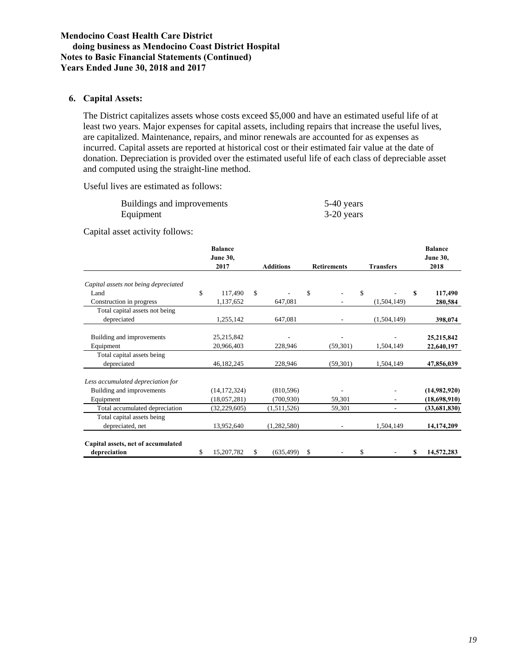#### **6. Capital Assets:**

The District capitalizes assets whose costs exceed \$5,000 and have an estimated useful life of at least two years. Major expenses for capital assets, including repairs that increase the useful lives, are capitalized. Maintenance, repairs, and minor renewals are accounted for as expenses as incurred. Capital assets are reported at historical cost or their estimated fair value at the date of donation. Depreciation is provided over the estimated useful life of each class of depreciable asset and computed using the straight-line method.

Useful lives are estimated as follows:

| Buildings and improvements | $5-40$ years |
|----------------------------|--------------|
| Equipment                  | $3-20$ years |

Capital asset activity follows:

|                                                    | <b>Balance</b><br><b>June 30,</b><br>2017 |              | <b>Additions</b> |               | <b>Retirements</b> |     | <b>Transfers</b>         |              | <b>Balance</b><br><b>June 30,</b><br>2018 |
|----------------------------------------------------|-------------------------------------------|--------------|------------------|---------------|--------------------|-----|--------------------------|--------------|-------------------------------------------|
|                                                    |                                           |              |                  |               |                    |     |                          |              |                                           |
| Capital assets not being depreciated               |                                           |              |                  |               |                    |     |                          |              |                                           |
| Land                                               | \$<br>117,490                             | $\mathbb{S}$ |                  | $\mathcal{S}$ |                    | \$. |                          | $\mathbf{s}$ | 117,490                                   |
| Construction in progress                           | 1,137,652                                 |              | 647,081          |               |                    |     | (1,504,149)              |              | 280,584                                   |
| Total capital assets not being                     |                                           |              |                  |               |                    |     |                          |              |                                           |
| depreciated                                        | 1,255,142                                 |              | 647,081          |               | $\sim$             |     | (1,504,149)              |              | 398,074                                   |
| Building and improvements                          | 25,215,842                                |              |                  |               |                    |     |                          |              | 25, 215, 842                              |
| Equipment                                          | 20,966,403                                |              | 228,946          |               | (59, 301)          |     | 1,504,149                |              | 22,640,197                                |
| Total capital assets being                         |                                           |              |                  |               |                    |     |                          |              |                                           |
| depreciated                                        | 46,182,245                                |              | 228,946          |               | (59, 301)          |     | 1,504,149                |              | 47,856,039                                |
| Less accumulated depreciation for                  |                                           |              |                  |               |                    |     |                          |              |                                           |
| Building and improvements                          | (14, 172, 324)                            |              | (810, 596)       |               |                    |     |                          |              | (14,982,920)                              |
| Equipment                                          | (18,057,281)                              |              | (700, 930)       |               | 59,301             |     |                          |              | (18,698,910)                              |
| Total accumulated depreciation                     | (32, 229, 605)                            |              | (1,511,526)      |               | 59,301             |     | $\overline{\phantom{0}}$ |              | (33,681,830)                              |
| Total capital assets being                         |                                           |              |                  |               |                    |     |                          |              |                                           |
| depreciated, net                                   | 13,952,640                                |              | (1,282,580)      |               |                    |     | 1,504,149                |              | 14,174,209                                |
| Capital assets, net of accumulated<br>depreciation | \$<br>15,207,782                          | \$           | (635, 499)       | \$            |                    | \$  |                          | \$           | 14,572,283                                |
|                                                    |                                           |              |                  |               |                    |     |                          |              |                                           |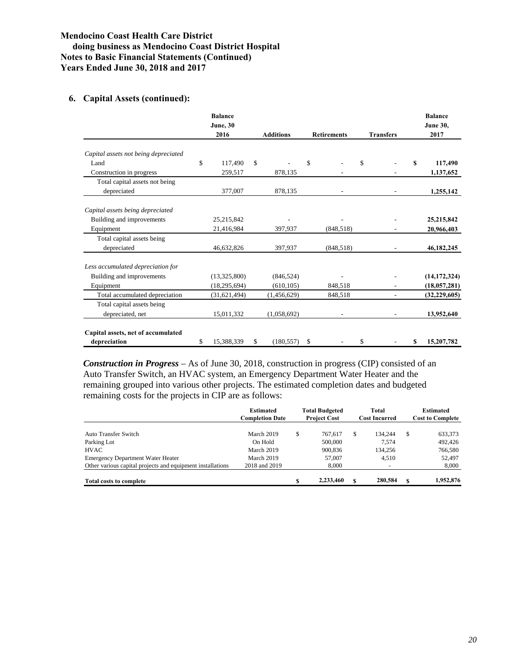#### **6. Capital Assets (continued):**

|                                      | <b>Balance</b><br><b>June</b> , 30 |                  |                    |                  |              | <b>Balance</b><br><b>June 30,</b> |
|--------------------------------------|------------------------------------|------------------|--------------------|------------------|--------------|-----------------------------------|
|                                      | 2016                               | <b>Additions</b> | <b>Retirements</b> | <b>Transfers</b> |              | 2017                              |
| Capital assets not being depreciated |                                    |                  |                    |                  |              |                                   |
| Land                                 | \$<br>117,490                      | \$               | \$                 | \$               | $\mathbf{s}$ | 117,490                           |
| Construction in progress             | 259,517                            | 878,135          |                    |                  |              | 1,137,652                         |
| Total capital assets not being       |                                    |                  |                    |                  |              |                                   |
| depreciated                          | 377,007                            | 878,135          |                    |                  |              | 1,255,142                         |
|                                      |                                    |                  |                    |                  |              |                                   |
| Capital assets being depreciated     |                                    |                  |                    |                  |              |                                   |
| Building and improvements            | 25,215,842                         |                  |                    |                  |              | 25,215,842                        |
| Equipment                            | 21,416,984                         | 397,937          | (848, 518)         |                  |              | 20,966,403                        |
| Total capital assets being           |                                    |                  |                    |                  |              |                                   |
| depreciated                          | 46,632,826                         | 397,937          | (848, 518)         |                  |              | 46, 182, 245                      |
| Less accumulated depreciation for    |                                    |                  |                    |                  |              |                                   |
| Building and improvements            | (13,325,800)                       | (846, 524)       |                    |                  |              | (14, 172, 324)                    |
| Equipment                            | (18, 295, 694)                     | (610, 105)       | 848,518            |                  |              | (18,057,281)                      |
| Total accumulated depreciation       | (31, 621, 494)                     | (1,456,629)      | 848,518            |                  |              | (32, 229, 605)                    |
| Total capital assets being           |                                    |                  |                    |                  |              |                                   |
| depreciated, net                     | 15,011,332                         | (1,058,692)      |                    |                  |              | 13,952,640                        |
| Capital assets, net of accumulated   |                                    |                  |                    |                  |              |                                   |
| depreciation                         | \$<br>15,388,339                   | \$<br>(180, 557) | \$                 | \$               | S            | 15,207,782                        |

*Construction in Progress* – As of June 30, 2018, construction in progress (CIP) consisted of an Auto Transfer Switch, an HVAC system, an Emergency Department Water Heater and the remaining grouped into various other projects. The estimated completion dates and budgeted remaining costs for the projects in CIP are as follows:

|                                                            | <b>Estimated</b><br><b>Completion Date</b> | <b>Total Budgeted</b><br><b>Project Cost</b> |           |   | Total<br><b>Cost Incurred</b> |    | <b>Estimated</b><br><b>Cost to Complete</b> |
|------------------------------------------------------------|--------------------------------------------|----------------------------------------------|-----------|---|-------------------------------|----|---------------------------------------------|
|                                                            |                                            |                                              |           |   |                               |    |                                             |
| Auto Transfer Switch                                       | March 2019                                 | \$                                           | 767.617   | S | 134,244                       | \$ | 633,373                                     |
| Parking Lot                                                | On Hold                                    |                                              | 500,000   |   | 7,574                         |    | 492,426                                     |
| <b>HVAC</b>                                                | March 2019                                 |                                              | 900,836   |   | 134,256                       |    | 766,580                                     |
| <b>Emergency Department Water Heater</b>                   | March 2019                                 |                                              | 57,007    |   | 4,510                         |    | 52,497                                      |
| Other various capital projects and equipment installations | 2018 and 2019                              |                                              | 8.000     |   | $\overline{\phantom{a}}$      |    | 8,000                                       |
| <b>Total costs to complete</b>                             |                                            | S                                            | 2.233.460 |   | 280,584                       | S  | 1,952,876                                   |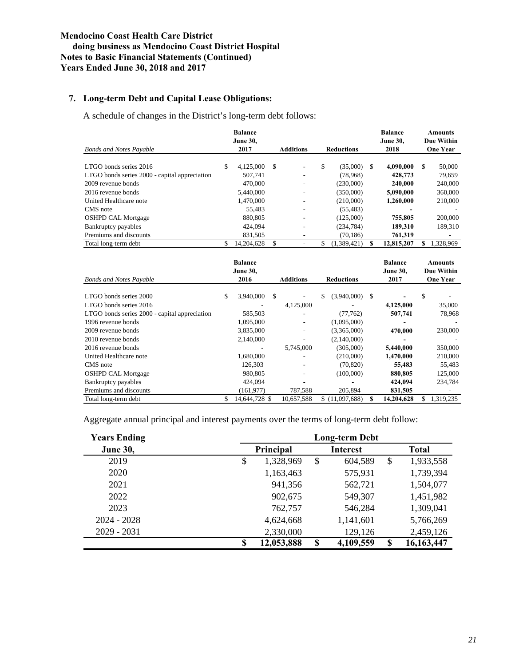# **7. Long-term Debt and Capital Lease Obligations:**

A schedule of changes in the District's long-term debt follows:

| <b>Bonds and Notes Payable</b>                |    | <b>Balance</b><br><b>June 30,</b><br>2017 | <b>Additions</b>         |    | <b>Reductions</b> |     | <b>Balance</b><br><b>June 30.</b><br>2018 |   | <b>Amounts</b><br>Due Within<br><b>One Year</b> |
|-----------------------------------------------|----|-------------------------------------------|--------------------------|----|-------------------|-----|-------------------------------------------|---|-------------------------------------------------|
|                                               |    |                                           |                          |    |                   |     |                                           |   |                                                 |
| LTGO bonds series 2016                        | \$ | 4.125,000                                 | \$<br>۰                  | \$ | (35,000)          | \$. | 4,090,000                                 | S | 50,000                                          |
| LTGO bonds series 2000 - capital appreciation |    | 507,741                                   |                          |    | (78,968)          |     | 428,773                                   |   | 79,659                                          |
| 2009 revenue bonds                            |    | 470,000                                   | ٠                        |    | (230,000)         |     | 240,000                                   |   | 240,000                                         |
| 2016 revenue bonds                            |    | 5,440,000                                 | $\overline{\phantom{a}}$ |    | (350,000)         |     | 5,090,000                                 |   | 360,000                                         |
| United Healthcare note                        |    | 1.470.000                                 | ٠                        |    | (210,000)         |     | 1.260.000                                 |   | 210,000                                         |
| CMS note                                      |    | 55.483                                    |                          |    | (55, 483)         |     |                                           |   |                                                 |
| <b>OSHPD CAL Mortgage</b>                     |    | 880,805                                   |                          |    | (125,000)         |     | 755,805                                   |   | 200,000                                         |
| Bankruptcy payables                           |    | 424,094                                   |                          |    | (234, 784)        |     | 189,310                                   |   | 189,310                                         |
| Premiums and discounts                        |    | 831,505                                   |                          |    | (70, 186)         |     | 761,319                                   |   | ۰                                               |
| Total long-term debt                          | S. | 14,204,628                                | \$                       | S  | (1,389,421)       |     | 12,815,207                                | S | 1,328,969                                       |
|                                               |    |                                           |                          |    |                   |     |                                           |   |                                                 |

|                                               | <b>Balance</b><br><b>June 30,</b> |   |                                       |    |                |      | <b>Balance</b><br><b>June 30,</b> |    | <b>Amounts</b><br><b>Due Within</b> |
|-----------------------------------------------|-----------------------------------|---|---------------------------------------|----|----------------|------|-----------------------------------|----|-------------------------------------|
| <b>Bonds and Notes Payable</b>                | 2016                              |   | <b>Additions</b><br><b>Reductions</b> |    |                | 2017 | <b>One Year</b>                   |    |                                     |
| LTGO bonds series 2000                        | \$<br>3,940,000                   | S |                                       | \$ | (3,940,000)    | -S   |                                   | \$ |                                     |
| LTGO bonds series 2016                        |                                   |   | 4,125,000                             |    |                |      | 4,125,000                         |    | 35,000                              |
| LTGO bonds series 2000 - capital appreciation | 585,503                           |   |                                       |    | (77,762)       |      | 507,741                           |    | 78,968                              |
| 1996 revenue bonds                            | 1,095,000                         |   |                                       |    | (1,095,000)    |      |                                   |    |                                     |
| 2009 revenue bonds                            | 3,835,000                         |   |                                       |    | (3,365,000)    |      | 470,000                           |    | 230,000                             |
| 2010 revenue bonds                            | 2,140,000                         |   |                                       |    | (2,140,000)    |      |                                   |    |                                     |
| 2016 revenue bonds                            |                                   |   | 5,745,000                             |    | (305,000)      |      | 5,440,000                         |    | 350,000                             |
| United Healthcare note                        | 1,680,000                         |   |                                       |    | (210,000)      |      | 1,470,000                         |    | 210,000                             |
| CMS note                                      | 126,303                           |   |                                       |    | (70, 820)      |      | 55,483                            |    | 55,483                              |
| <b>OSHPD CAL Mortgage</b>                     | 980,805                           |   |                                       |    | (100,000)      |      | 880,805                           |    | 125,000                             |
| Bankruptcy payables                           | 424,094                           |   |                                       |    |                |      | 424,094                           |    | 234,784                             |
| Premiums and discounts                        | (161.977)                         |   | 787.588                               |    | 205.894        |      | 831,505                           |    | ٠                                   |
| Total long-term debt                          | \$<br>14,644,728 \$               |   | 10,657,588                            |    | \$(11.097.688) |      | 14,204,628                        | \$ | 1,319,235                           |

Aggregate annual principal and interest payments over the terms of long-term debt follow:

| <b>Years Ending</b> | <b>Long-term Debt</b> |    |                 |    |            |  |  |  |
|---------------------|-----------------------|----|-----------------|----|------------|--|--|--|
| <b>June 30,</b>     | <b>Principal</b>      |    | <b>Interest</b> |    | Total      |  |  |  |
| 2019                | \$<br>1,328,969       | \$ | 604,589         | \$ | 1,933,558  |  |  |  |
| 2020                | 1,163,463             |    | 575,931         |    | 1,739,394  |  |  |  |
| 2021                | 941,356               |    | 562,721         |    | 1,504,077  |  |  |  |
| 2022                | 902,675               |    | 549,307         |    | 1,451,982  |  |  |  |
| 2023                | 762,757               |    | 546,284         |    | 1,309,041  |  |  |  |
| $2024 - 2028$       | 4,624,668             |    | 1,141,601       |    | 5,766,269  |  |  |  |
| $2029 - 2031$       | 2,330,000             |    | 129,126         |    | 2,459,126  |  |  |  |
|                     | \$<br>12,053,888      | S  | 4,109,559       | \$ | 16,163,447 |  |  |  |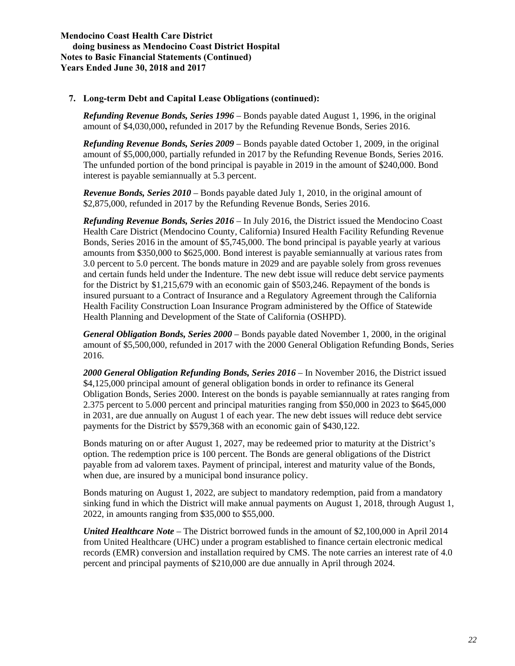#### **7. Long-term Debt and Capital Lease Obligations (continued):**

*Refunding Revenue Bonds, Series 1996* – Bonds payable dated August 1, 1996, in the original amount of \$4,030,000**,** refunded in 2017 by the Refunding Revenue Bonds, Series 2016.

*Refunding Revenue Bonds, Series 2009* – Bonds payable dated October 1, 2009, in the original amount of \$5,000,000, partially refunded in 2017 by the Refunding Revenue Bonds, Series 2016. The unfunded portion of the bond principal is payable in 2019 in the amount of \$240,000. Bond interest is payable semiannually at 5.3 percent.

*Revenue Bonds, Series 2010* – Bonds payable dated July 1, 2010, in the original amount of \$2,875,000, refunded in 2017 by the Refunding Revenue Bonds, Series 2016.

*Refunding Revenue Bonds, Series 2016* – In July 2016, the District issued the Mendocino Coast Health Care District (Mendocino County, California) Insured Health Facility Refunding Revenue Bonds, Series 2016 in the amount of \$5,745,000. The bond principal is payable yearly at various amounts from \$350,000 to \$625,000. Bond interest is payable semiannually at various rates from 3.0 percent to 5.0 percent. The bonds mature in 2029 and are payable solely from gross revenues and certain funds held under the Indenture. The new debt issue will reduce debt service payments for the District by \$1,215,679 with an economic gain of \$503,246. Repayment of the bonds is insured pursuant to a Contract of Insurance and a Regulatory Agreement through the California Health Facility Construction Loan Insurance Program administered by the Office of Statewide Health Planning and Development of the State of California (OSHPD).

*General Obligation Bonds, Series 2000* – Bonds payable dated November 1, 2000, in the original amount of \$5,500,000, refunded in 2017 with the 2000 General Obligation Refunding Bonds, Series 2016.

*2000 General Obligation Refunding Bonds, Series 2016* – In November 2016, the District issued \$4,125,000 principal amount of general obligation bonds in order to refinance its General Obligation Bonds, Series 2000. Interest on the bonds is payable semiannually at rates ranging from 2.375 percent to 5.000 percent and principal maturities ranging from \$50,000 in 2023 to \$645,000 in 2031, are due annually on August 1 of each year. The new debt issues will reduce debt service payments for the District by \$579,368 with an economic gain of \$430,122.

Bonds maturing on or after August 1, 2027, may be redeemed prior to maturity at the District's option. The redemption price is 100 percent. The Bonds are general obligations of the District payable from ad valorem taxes. Payment of principal, interest and maturity value of the Bonds, when due, are insured by a municipal bond insurance policy.

Bonds maturing on August 1, 2022, are subject to mandatory redemption, paid from a mandatory sinking fund in which the District will make annual payments on August 1, 2018, through August 1, 2022, in amounts ranging from \$35,000 to \$55,000.

*United Healthcare Note* – The District borrowed funds in the amount of \$2,100,000 in April 2014 from United Healthcare (UHC) under a program established to finance certain electronic medical records (EMR) conversion and installation required by CMS. The note carries an interest rate of 4.0 percent and principal payments of \$210,000 are due annually in April through 2024.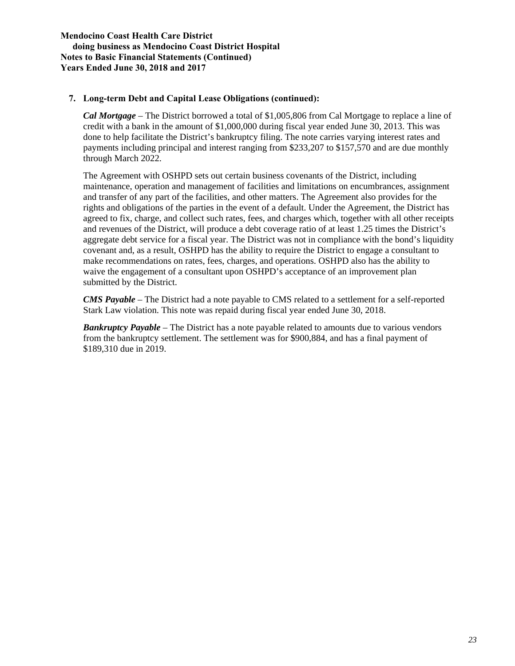# **7. Long-term Debt and Capital Lease Obligations (continued):**

*Cal Mortgage* – The District borrowed a total of \$1,005,806 from Cal Mortgage to replace a line of credit with a bank in the amount of \$1,000,000 during fiscal year ended June 30, 2013. This was done to help facilitate the District's bankruptcy filing. The note carries varying interest rates and payments including principal and interest ranging from \$233,207 to \$157,570 and are due monthly through March 2022.

The Agreement with OSHPD sets out certain business covenants of the District, including maintenance, operation and management of facilities and limitations on encumbrances, assignment and transfer of any part of the facilities, and other matters. The Agreement also provides for the rights and obligations of the parties in the event of a default. Under the Agreement, the District has agreed to fix, charge, and collect such rates, fees, and charges which, together with all other receipts and revenues of the District, will produce a debt coverage ratio of at least 1.25 times the District's aggregate debt service for a fiscal year. The District was not in compliance with the bond's liquidity covenant and, as a result, OSHPD has the ability to require the District to engage a consultant to make recommendations on rates, fees, charges, and operations. OSHPD also has the ability to waive the engagement of a consultant upon OSHPD's acceptance of an improvement plan submitted by the District.

*CMS Payable* – The District had a note payable to CMS related to a settlement for a self-reported Stark Law violation. This note was repaid during fiscal year ended June 30, 2018.

*Bankruptcy Payable* – The District has a note payable related to amounts due to various vendors from the bankruptcy settlement. The settlement was for \$900,884, and has a final payment of \$189,310 due in 2019.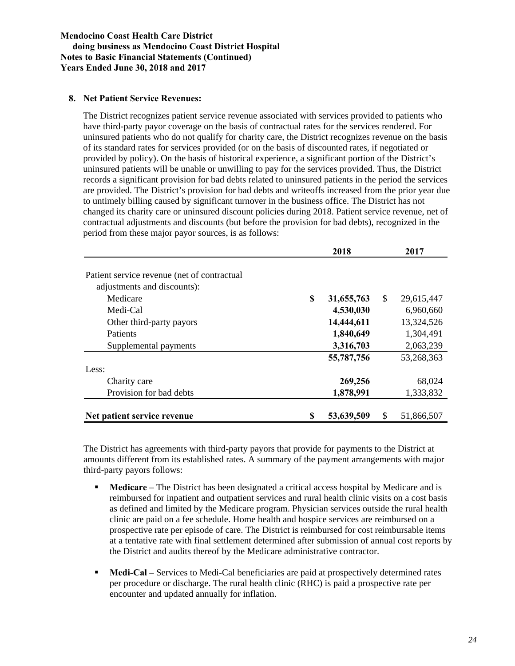## **8. Net Patient Service Revenues:**

The District recognizes patient service revenue associated with services provided to patients who have third-party payor coverage on the basis of contractual rates for the services rendered. For uninsured patients who do not qualify for charity care, the District recognizes revenue on the basis of its standard rates for services provided (or on the basis of discounted rates, if negotiated or provided by policy). On the basis of historical experience, a significant portion of the District's uninsured patients will be unable or unwilling to pay for the services provided. Thus, the District records a significant provision for bad debts related to uninsured patients in the period the services are provided. The District's provision for bad debts and writeoffs increased from the prior year due to untimely billing caused by significant turnover in the business office. The District has not changed its charity care or uninsured discount policies during 2018. Patient service revenue, net of contractual adjustments and discounts (but before the provision for bad debts), recognized in the period from these major payor sources, is as follows:

|                                             |   | 2018       | 2017             |
|---------------------------------------------|---|------------|------------------|
|                                             |   |            |                  |
| Patient service revenue (net of contractual |   |            |                  |
| adjustments and discounts):                 |   |            |                  |
| Medicare                                    | S | 31,655,763 | \$<br>29,615,447 |
| Medi-Cal                                    |   | 4,530,030  | 6,960,660        |
| Other third-party payors                    |   | 14,444,611 | 13,324,526       |
| Patients                                    |   | 1,840,649  | 1,304,491        |
| Supplemental payments                       |   | 3,316,703  | 2,063,239        |
|                                             |   | 55,787,756 | 53,268,363       |
| Less:                                       |   |            |                  |
| Charity care                                |   | 269,256    | 68,024           |
| Provision for bad debts                     |   | 1,878,991  | 1,333,832        |
|                                             |   |            |                  |
| Net patient service revenue                 |   | 53,639,509 | \$<br>51,866,507 |

The District has agreements with third-party payors that provide for payments to the District at amounts different from its established rates. A summary of the payment arrangements with major third-party payors follows:

- **Medicare** The District has been designated a critical access hospital by Medicare and is reimbursed for inpatient and outpatient services and rural health clinic visits on a cost basis as defined and limited by the Medicare program. Physician services outside the rural health clinic are paid on a fee schedule. Home health and hospice services are reimbursed on a prospective rate per episode of care. The District is reimbursed for cost reimbursable items at a tentative rate with final settlement determined after submission of annual cost reports by the District and audits thereof by the Medicare administrative contractor.
- **Medi-Cal** Services to Medi-Cal beneficiaries are paid at prospectively determined rates per procedure or discharge. The rural health clinic (RHC) is paid a prospective rate per encounter and updated annually for inflation.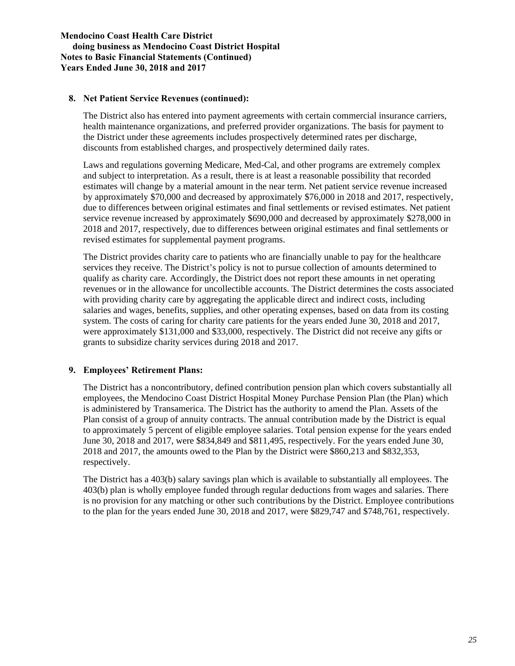## **8. Net Patient Service Revenues (continued):**

The District also has entered into payment agreements with certain commercial insurance carriers, health maintenance organizations, and preferred provider organizations. The basis for payment to the District under these agreements includes prospectively determined rates per discharge, discounts from established charges, and prospectively determined daily rates.

Laws and regulations governing Medicare, Med-Cal, and other programs are extremely complex and subject to interpretation. As a result, there is at least a reasonable possibility that recorded estimates will change by a material amount in the near term. Net patient service revenue increased by approximately \$70,000 and decreased by approximately \$76,000 in 2018 and 2017, respectively, due to differences between original estimates and final settlements or revised estimates. Net patient service revenue increased by approximately \$690,000 and decreased by approximately \$278,000 in 2018 and 2017, respectively, due to differences between original estimates and final settlements or revised estimates for supplemental payment programs.

The District provides charity care to patients who are financially unable to pay for the healthcare services they receive. The District's policy is not to pursue collection of amounts determined to qualify as charity care. Accordingly, the District does not report these amounts in net operating revenues or in the allowance for uncollectible accounts. The District determines the costs associated with providing charity care by aggregating the applicable direct and indirect costs, including salaries and wages, benefits, supplies, and other operating expenses, based on data from its costing system. The costs of caring for charity care patients for the years ended June 30, 2018 and 2017, were approximately \$131,000 and \$33,000, respectively. The District did not receive any gifts or grants to subsidize charity services during 2018 and 2017.

# **9. Employees' Retirement Plans:**

The District has a noncontributory, defined contribution pension plan which covers substantially all employees, the Mendocino Coast District Hospital Money Purchase Pension Plan (the Plan) which is administered by Transamerica. The District has the authority to amend the Plan. Assets of the Plan consist of a group of annuity contracts. The annual contribution made by the District is equal to approximately 5 percent of eligible employee salaries. Total pension expense for the years ended June 30, 2018 and 2017, were \$834,849 and \$811,495, respectively. For the years ended June 30, 2018 and 2017, the amounts owed to the Plan by the District were \$860,213 and \$832,353, respectively.

The District has a 403(b) salary savings plan which is available to substantially all employees. The 403(b) plan is wholly employee funded through regular deductions from wages and salaries. There is no provision for any matching or other such contributions by the District. Employee contributions to the plan for the years ended June 30, 2018 and 2017, were \$829,747 and \$748,761, respectively.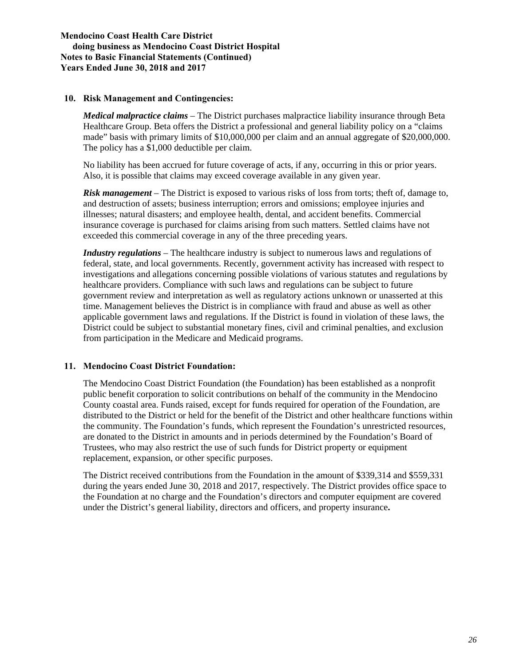#### **10. Risk Management and Contingencies:**

*Medical malpractice claims* – The District purchases malpractice liability insurance through Beta Healthcare Group. Beta offers the District a professional and general liability policy on a "claims made" basis with primary limits of \$10,000,000 per claim and an annual aggregate of \$20,000,000. The policy has a \$1,000 deductible per claim.

No liability has been accrued for future coverage of acts, if any, occurring in this or prior years. Also, it is possible that claims may exceed coverage available in any given year.

*Risk management* – The District is exposed to various risks of loss from torts; theft of, damage to, and destruction of assets; business interruption; errors and omissions; employee injuries and illnesses; natural disasters; and employee health, dental, and accident benefits. Commercial insurance coverage is purchased for claims arising from such matters. Settled claims have not exceeded this commercial coverage in any of the three preceding years.

*Industry regulations* – The healthcare industry is subject to numerous laws and regulations of federal, state, and local governments. Recently, government activity has increased with respect to investigations and allegations concerning possible violations of various statutes and regulations by healthcare providers. Compliance with such laws and regulations can be subject to future government review and interpretation as well as regulatory actions unknown or unasserted at this time. Management believes the District is in compliance with fraud and abuse as well as other applicable government laws and regulations. If the District is found in violation of these laws, the District could be subject to substantial monetary fines, civil and criminal penalties, and exclusion from participation in the Medicare and Medicaid programs.

#### **11. Mendocino Coast District Foundation:**

The Mendocino Coast District Foundation (the Foundation) has been established as a nonprofit public benefit corporation to solicit contributions on behalf of the community in the Mendocino County coastal area. Funds raised, except for funds required for operation of the Foundation, are distributed to the District or held for the benefit of the District and other healthcare functions within the community. The Foundation's funds, which represent the Foundation's unrestricted resources, are donated to the District in amounts and in periods determined by the Foundation's Board of Trustees, who may also restrict the use of such funds for District property or equipment replacement, expansion, or other specific purposes.

The District received contributions from the Foundation in the amount of \$339,314 and \$559,331 during the years ended June 30, 2018 and 2017, respectively. The District provides office space to the Foundation at no charge and the Foundation's directors and computer equipment are covered under the District's general liability, directors and officers, and property insurance**.**